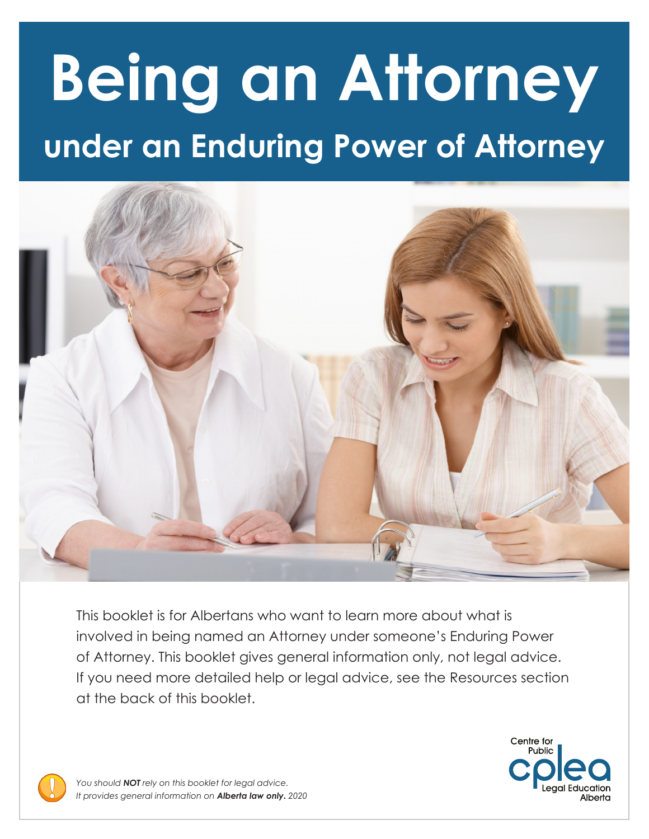# **under an Enduring Power of Attorney Being an Attorney**



This booklet is for Albertans who want to learn more about what is involved in being named an Attorney under someone's Enduring Power of Attorney. This booklet gives general information only, not legal advice. If you need more detailed help or legal advice, see the Resources section at the back of this booklet.



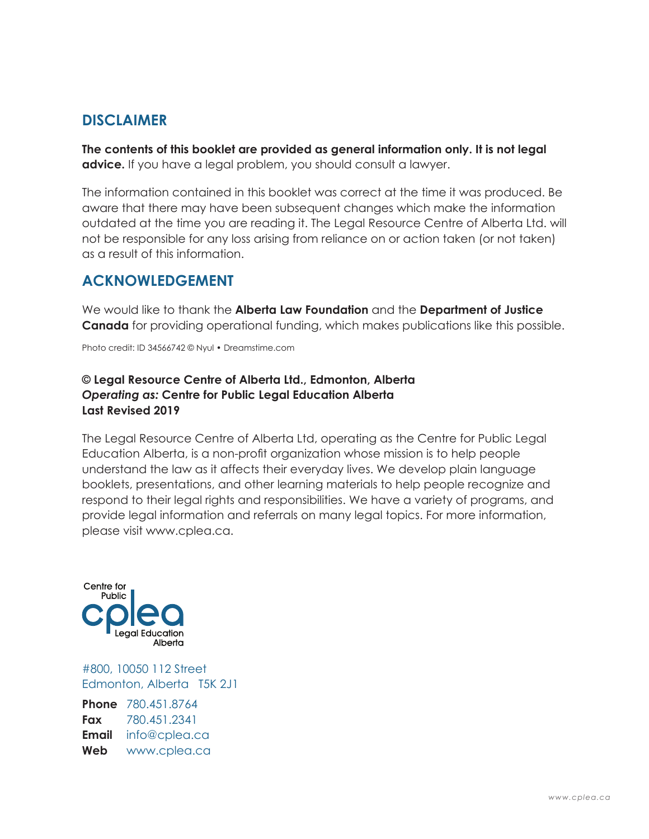#### **DISCLAIMER**

**The contents of this booklet are provided as general information only. It is not legal advice.** If you have a legal problem, you should consult a lawyer.

The information contained in this booklet was correct at the time it was produced. Be aware that there may have been subsequent changes which make the information outdated at the time you are reading it. The Legal Resource Centre of Alberta Ltd. will not be responsible for any loss arising from reliance on or action taken (or not taken) as a result of this information.

#### **ACKNOWLEDGEMENT**

We would like to thank the **Alberta Law Foundation** and the **Department of Justice Canada** for providing operational funding, which makes publications like this possible.

Photo credit: ID 34566742 © Nyul • Dreamstime.com

#### **© Legal Resource Centre of Alberta Ltd., Edmonton, Alberta** *Operating as:* **Centre for Public Legal Education Alberta Last Revised 2019**

The Legal Resource Centre of Alberta Ltd, operating as the Centre for Public Legal Education Alberta, is a non-profit organization whose mission is to help people understand the law as it affects their everyday lives. We develop plain language booklets, presentations, and other learning materials to help people recognize and respond to their legal rights and responsibilities. We have a variety of programs, and provide legal information and referrals on many legal topics. For more information, please visit www.cplea.ca.



#800, 10050 112 Street Edmonton, Alberta T5K 2J1

**Phone** 780.451.8764 **Fax** 780.451.2341 **Email** info@cplea.ca **Web** www.cplea.ca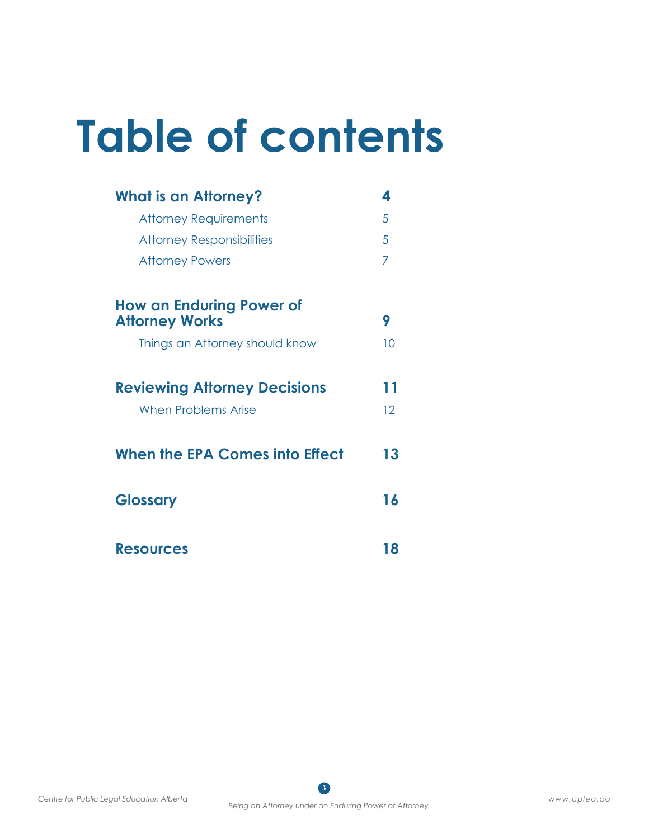# **Table of contents**

| <b>What is an Attorney?</b>                              | 4  |
|----------------------------------------------------------|----|
| <b>Attorney Requirements</b>                             | 5  |
| <b>Attorney Responsibilities</b>                         | 5  |
| <b>Attorney Powers</b>                                   | 7  |
| <b>How an Enduring Power of</b><br><b>Attorney Works</b> | 9  |
| Things an Attorney should know                           | 10 |
| <b>Reviewing Attorney Decisions</b>                      | 11 |
| <b>When Problems Arise</b>                               | 12 |
| When the EPA Comes into Effect                           | 13 |
| <b>Glossary</b>                                          | 16 |
| <b>Resources</b>                                         | 18 |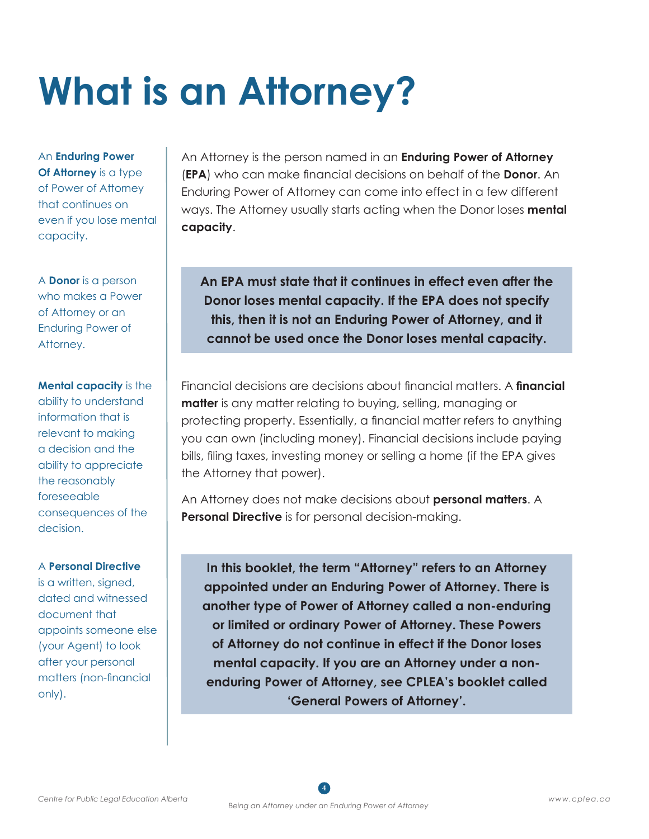# **What is an Attorney?**

An **Enduring Power Of Attorney** is a type of Power of Attorney that continues on even if you lose mental capacity.

A **Donor** is a person who makes a Power of Attorney or an Enduring Power of Attorney.

**Mental capacity** is the ability to understand information that is relevant to making a decision and the ability to appreciate the reasonably foreseeable consequences of the decision.

#### A **Personal Directive**

is a written, signed, dated and witnessed document that appoints someone else (your Agent) to look after your personal matters (non-financial only).

An Attorney is the person named in an **Enduring Power of Attorney** (**EPA**) who can make financial decisions on behalf of the **Donor**. An Enduring Power of Attorney can come into effect in a few different ways. The Attorney usually starts acting when the Donor loses **mental capacity**.

**An EPA must state that it continues in effect even after the Donor loses mental capacity. If the EPA does not specify this, then it is not an Enduring Power of Attorney, and it cannot be used once the Donor loses mental capacity.**

Financial decisions are decisions about financial matters. A **financial matter** is any matter relating to buying, selling, managing or protecting property. Essentially, a financial matter refers to anything you can own (including money). Financial decisions include paying bills, filing taxes, investing money or selling a home (if the EPA gives the Attorney that power).

An Attorney does not make decisions about **personal matters**. A **Personal Directive** is for personal decision-making.

**In this booklet, the term "Attorney" refers to an Attorney appointed under an Enduring Power of Attorney. There is another type of Power of Attorney called a non-enduring or limited or ordinary Power of Attorney. These Powers of Attorney do not continue in effect if the Donor loses mental capacity. If you are an Attorney under a nonenduring Power of Attorney, see CPLEA's booklet called 'General Powers of Attorney'.**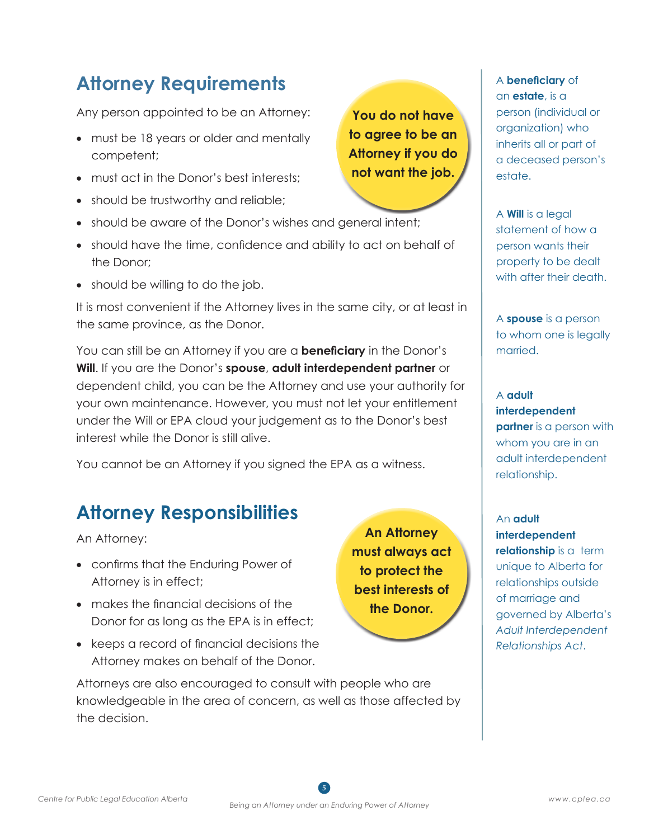#### **Attorney Requirements**

Any person appointed to be an Attorney:

- must be 18 years or older and mentally competent;
- must act in the Donor's best interests:
- should be trustworthy and reliable;
- should be aware of the Donor's wishes and general intent;
- should have the time, confidence and ability to act on behalf of the Donor;
- should be willing to do the job.

It is most convenient if the Attorney lives in the same city, or at least in the same province, as the Donor.

You can still be an Attorney if you are a **beneficiary** in the Donor's **Will**. If you are the Donor's **spouse**, **adult interdependent partner** or dependent child, you can be the Attorney and use your authority for your own maintenance. However, you must not let your entitlement under the Will or EPA cloud your judgement as to the Donor's best interest while the Donor is still alive.

You cannot be an Attorney if you signed the EPA as a witness.

#### **Attorney Responsibilities**

An Attorney:

- • confirms that the Enduring Power of Attorney is in effect;
- makes the financial decisions of the Donor for as long as the EPA is in effect;
- keeps a record of financial decisions the Attorney makes on behalf of the Donor.

Attorneys are also encouraged to consult with people who are knowledgeable in the area of concern, as well as those affected by the decision.

**You do not have to agree to be an Attorney if you do not want the job.**

**An Attorney must always act to protect the best interests of the Donor.**

A **Will** is a legal statement of how a person wants their property to be dealt with after their death.

A **beneficiary** of an **estate**, is a

estate.

person (individual or organization) who inherits all or part of a deceased person's

A **spouse** is a person to whom one is legally married.

#### A **adult interdependent partner** is a person with whom you are in an adult interdependent relationship.

An **adult interdependent relationship** is a term unique to Alberta for relationships outside of marriage and governed by Alberta's *Adult Interdependent Relationships Act*.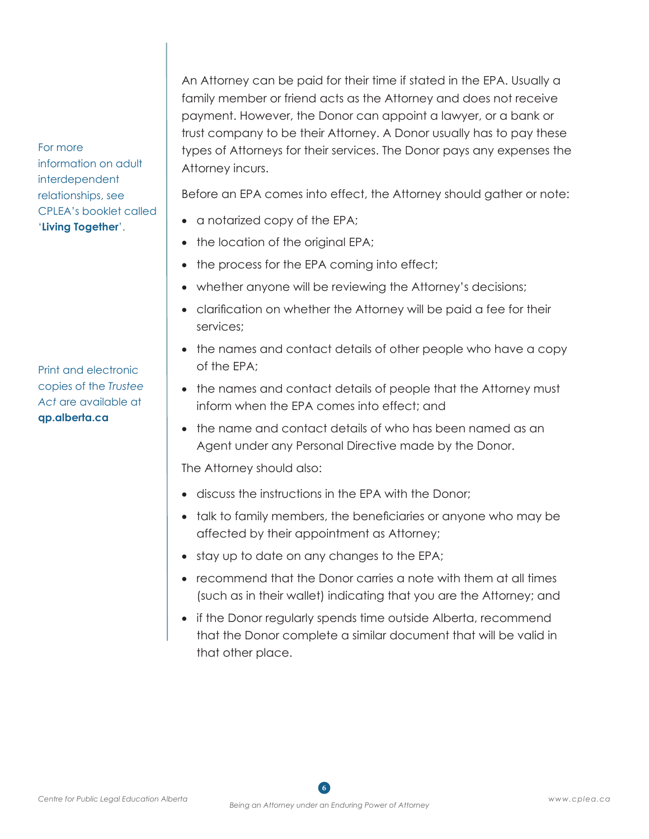An Attorney can be paid for their time if stated in the EPA. Usually a family member or friend acts as the Attorney and does not receive payment. However, the Donor can appoint a lawyer, or a bank or trust company to be their Attorney. A Donor usually has to pay these types of Attorneys for their services. The Donor pays any expenses the Attorney incurs.

Before an EPA comes into effect, the Attorney should gather or note:

- a notarized copy of the EPA;
- the location of the original EPA;
- the process for the EPA coming into effect;
- whether anyone will be reviewing the Attorney's decisions;
- clarification on whether the Attorney will be paid a fee for their services;
- the names and contact details of other people who have a copy of the EPA;
- the names and contact details of people that the Attorney must inform when the EPA comes into effect; and
- the name and contact details of who has been named as an Agent under any Personal Directive made by the Donor.

The Attorney should also:

- discuss the instructions in the EPA with the Donor;
- talk to family members, the beneficiaries or anyone who may be affected by their appointment as Attorney;
- stay up to date on any changes to the EPA;
- recommend that the Donor carries a note with them at all times (such as in their wallet) indicating that you are the Attorney; and
- if the Donor regularly spends time outside Alberta, recommend that the Donor complete a similar document that will be valid in that other place.

For more information on adult interdependent relationships, see CPLEA's booklet called '**Living Together**'.

Print and electronic copies of the *Trustee Act* are available at **qp.alberta.ca**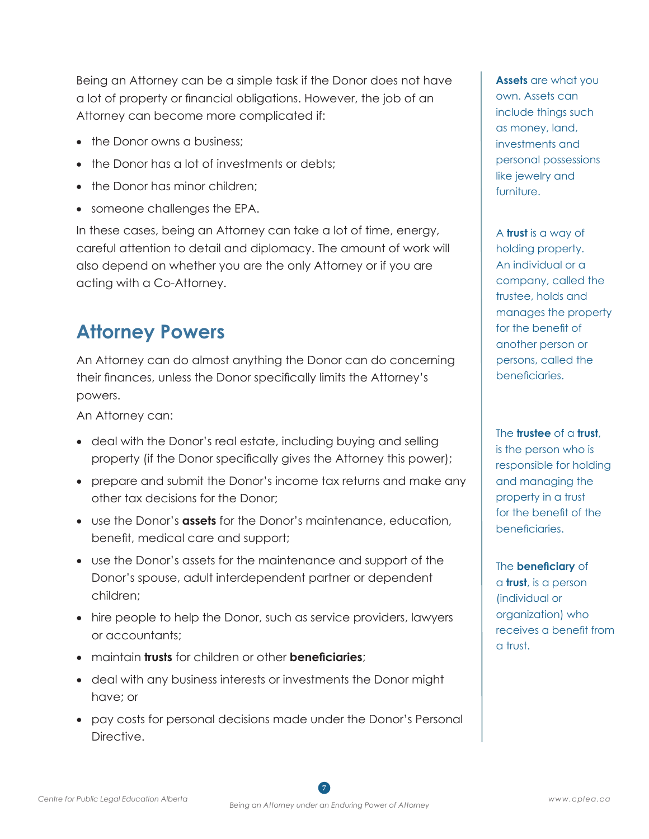Being an Attorney can be a simple task if the Donor does not have a lot of property or financial obligations. However, the job of an Attorney can become more complicated if:

- the Donor owns a business:
- the Donor has a lot of investments or debts;
- the Donor has minor children;
- someone challenges the EPA.

In these cases, being an Attorney can take a lot of time, energy, careful attention to detail and diplomacy. The amount of work will also depend on whether you are the only Attorney or if you are acting with a Co-Attorney.

#### **Attorney Powers**

An Attorney can do almost anything the Donor can do concerning their finances, unless the Donor specifically limits the Attorney's powers.

An Attorney can:

- deal with the Donor's real estate, including buying and selling property (if the Donor specifically gives the Attorney this power);
- prepare and submit the Donor's income tax returns and make any other tax decisions for the Donor;
- • use the Donor's **assets** for the Donor's maintenance, education, benefit, medical care and support;
- use the Donor's assets for the maintenance and support of the Donor's spouse, adult interdependent partner or dependent children;
- hire people to help the Donor, such as service providers, lawyers or accountants;
- • maintain **trusts** for children or other **beneficiaries**;
- deal with any business interests or investments the Donor might have; or
- pay costs for personal decisions made under the Donor's Personal Directive.

**Assets** are what you own. Assets can include things such as money, land, investments and personal possessions like jewelry and furniture.

A **trust** is a way of holding property. An individual or a company, called the trustee, holds and manages the property for the benefit of another person or persons, called the beneficiaries.

The **trustee** of a **trust**,

is the person who is responsible for holding and managing the property in a trust for the benefit of the beneficiaries.

The **beneficiary** of a **trust**, is a person (individual or organization) who receives a benefit from a trust.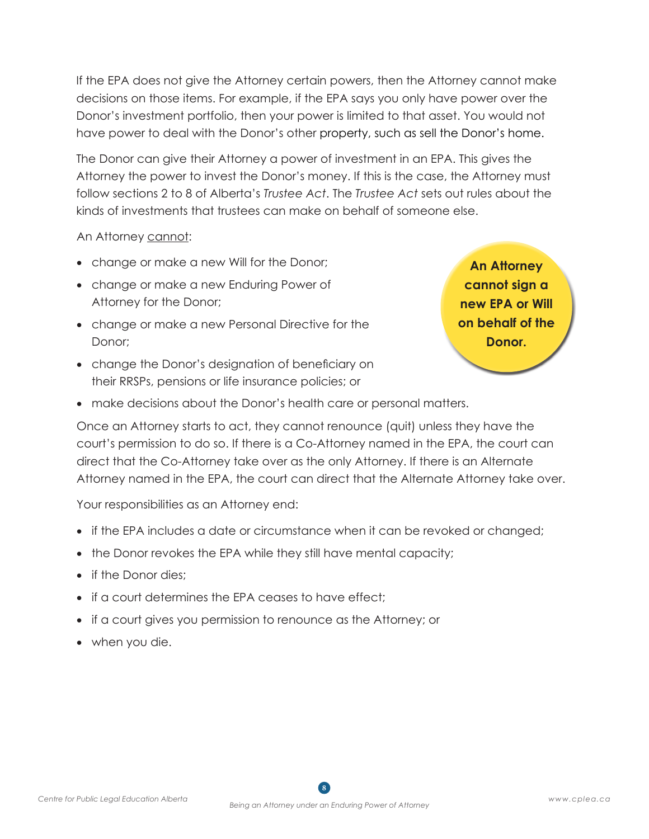If the EPA does not give the Attorney certain powers, then the Attorney cannot make decisions on those items. For example, if the EPA says you only have power over the Donor's investment portfolio, then your power is limited to that asset. You would not have power to deal with the Donor's other property, such as sell the Donor's home.

The Donor can give their Attorney a power of investment in an EPA. This gives the Attorney the power to invest the Donor's money. If this is the case, the Attorney must follow sections 2 to 8 of Alberta's *Trustee Act*. The *Trustee Act* sets out rules about the kinds of investments that trustees can make on behalf of someone else.

An Attorney cannot:

- change or make a new Will for the Donor;
- change or make a new Enduring Power of Attorney for the Donor;
- change or make a new Personal Directive for the Donor;
- change the Donor's designation of beneficiary on their RRSPs, pensions or life insurance policies; or

**An Attorney cannot sign a new EPA or Will on behalf of the Donor.**

• make decisions about the Donor's health care or personal matters.

Once an Attorney starts to act, they cannot renounce (quit) unless they have the court's permission to do so. If there is a Co-Attorney named in the EPA, the court can direct that the Co-Attorney take over as the only Attorney. If there is an Alternate Attorney named in the EPA, the court can direct that the Alternate Attorney take over.

Your responsibilities as an Attorney end:

- if the EPA includes a date or circumstance when it can be revoked or changed;
- the Donor revokes the EPA while they still have mental capacity;
- if the Donor dies:
- if a court determines the EPA ceases to have effect;
- if a court gives you permission to renounce as the Attorney; or
- when you die.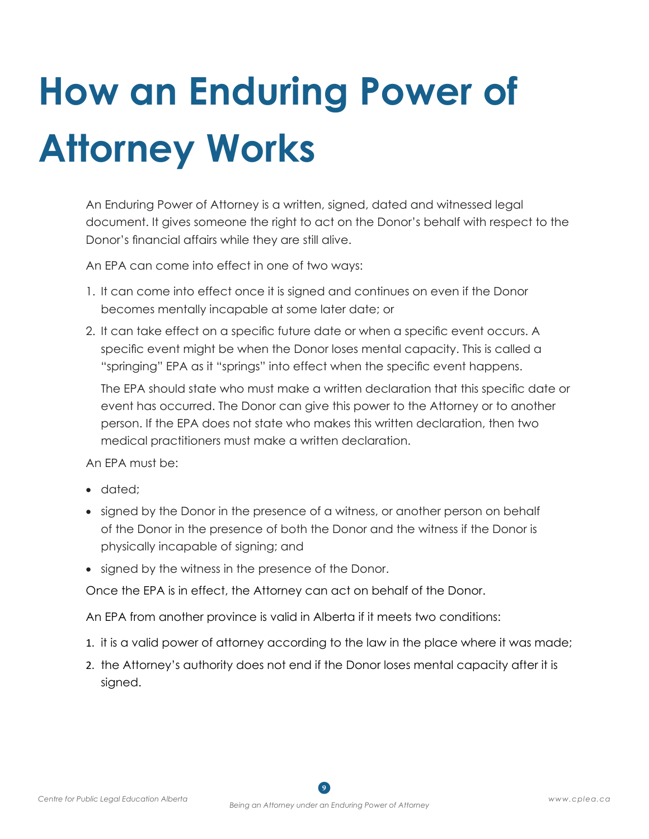# **How an Enduring Power of Attorney Works**

An Enduring Power of Attorney is a written, signed, dated and witnessed legal document. It gives someone the right to act on the Donor's behalf with respect to the Donor's financial affairs while they are still alive.

An EPA can come into effect in one of two ways:

- 1. It can come into effect once it is signed and continues on even if the Donor becomes mentally incapable at some later date; or
- 2. It can take effect on a specific future date or when a specific event occurs. A specific event might be when the Donor loses mental capacity. This is called a "springing" EPA as it "springs" into effect when the specific event happens.

The EPA should state who must make a written declaration that this specific date or event has occurred. The Donor can give this power to the Attorney or to another person. If the EPA does not state who makes this written declaration, then two medical practitioners must make a written declaration.

An EPA must be:

- dated:
- signed by the Donor in the presence of a witness, or another person on behalf of the Donor in the presence of both the Donor and the witness if the Donor is physically incapable of signing; and
- signed by the witness in the presence of the Donor.

Once the EPA is in effect, the Attorney can act on behalf of the Donor.

An EPA from another province is valid in Alberta if it meets two conditions:

- 1. it is a valid power of attorney according to the law in the place where it was made;
- 2. the Attorney's authority does not end if the Donor loses mental capacity after it is signed.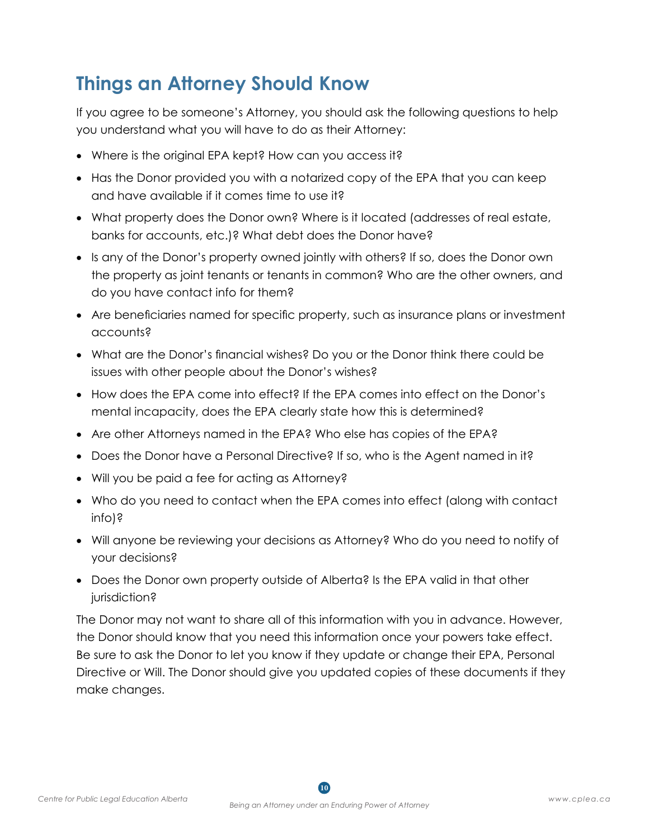#### **Things an Attorney Should Know**

If you agree to be someone's Attorney, you should ask the following questions to help you understand what you will have to do as their Attorney:

- Where is the original EPA kept? How can you access it?
- Has the Donor provided you with a notarized copy of the EPA that you can keep and have available if it comes time to use it?
- What property does the Donor own? Where is it located (addresses of real estate, banks for accounts, etc.)? What debt does the Donor have?
- Is any of the Donor's property owned jointly with others? If so, does the Donor own the property as joint tenants or tenants in common? Who are the other owners, and do you have contact info for them?
- Are beneficiaries named for specific property, such as insurance plans or investment accounts?
- What are the Donor's financial wishes? Do you or the Donor think there could be issues with other people about the Donor's wishes?
- How does the EPA come into effect? If the EPA comes into effect on the Donor's mental incapacity, does the EPA clearly state how this is determined?
- Are other Attorneys named in the EPA? Who else has copies of the EPA?
- Does the Donor have a Personal Directive? If so, who is the Agent named in it?
- Will you be paid a fee for acting as Attorney?
- Who do you need to contact when the EPA comes into effect (along with contact info)?
- Will anyone be reviewing your decisions as Attorney? Who do you need to notify of your decisions?
- Does the Donor own property outside of Alberta? Is the EPA valid in that other jurisdiction?

The Donor may not want to share all of this information with you in advance. However, the Donor should know that you need this information once your powers take effect. Be sure to ask the Donor to let you know if they update or change their EPA, Personal Directive or Will. The Donor should give you updated copies of these documents if they make changes.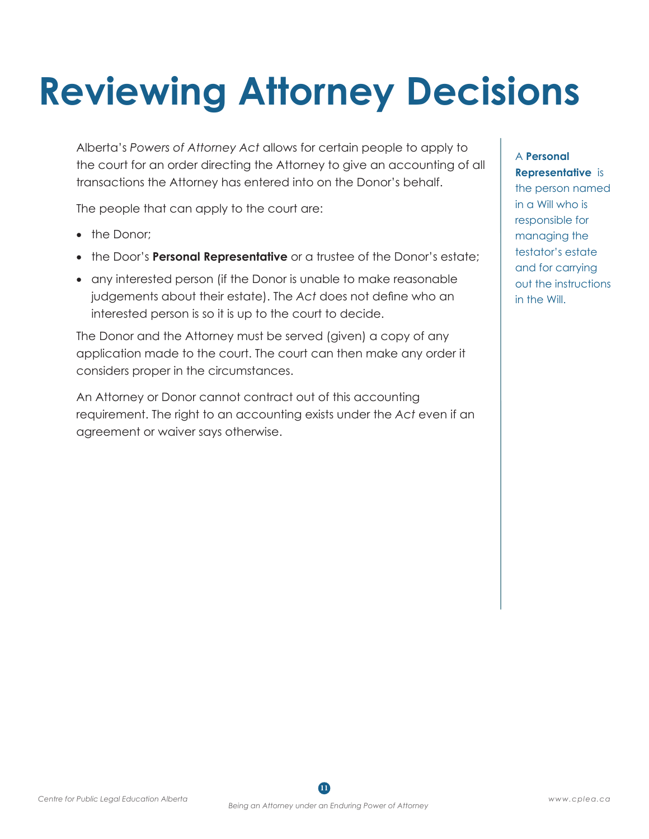# **Reviewing Attorney Decisions**

Alberta's *Powers of Attorney Act* allows for certain people to apply to the court for an order directing the Attorney to give an accounting of all transactions the Attorney has entered into on the Donor's behalf.

The people that can apply to the court are:

- the Donor:
- the Door's **Personal Representative** or a trustee of the Donor's estate;
- any interested person (if the Donor is unable to make reasonable judgements about their estate). The *Act* does not define who an interested person is so it is up to the court to decide.

The Donor and the Attorney must be served (given) a copy of any application made to the court. The court can then make any order it considers proper in the circumstances.

An Attorney or Donor cannot contract out of this accounting requirement. The right to an accounting exists under the *Act* even if an agreement or waiver says otherwise.

#### A **Personal Representative** is the person named in a Will who is responsible for managing the testator's estate and for carrying out the instructions in the Will.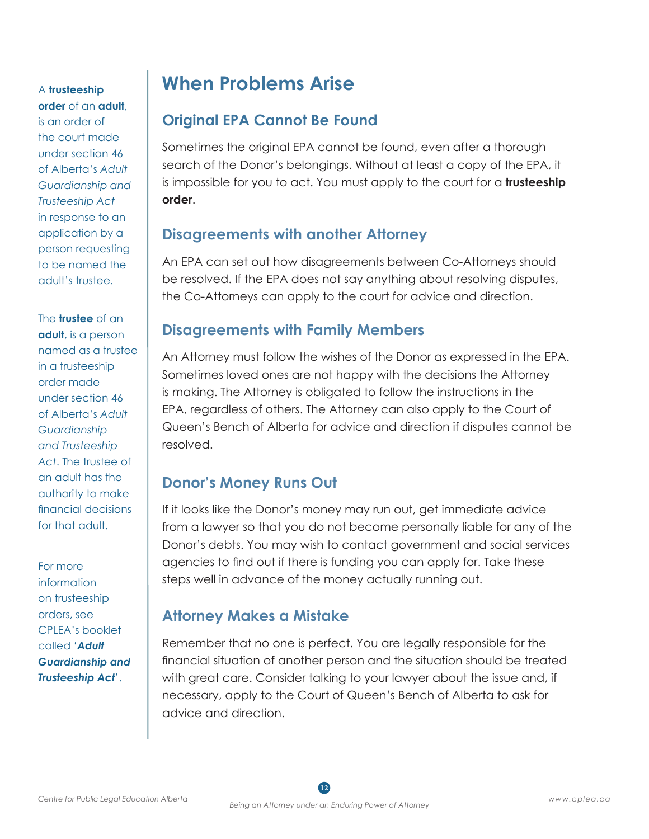A **trusteeship order** of an **adult**, is an order of the court made under section 46 of Alberta's *Adult Guardianship and Trusteeship Act* in response to an application by a person requesting to be named the adult's trustee.

The **trustee** of an **adult**, is a person named as a trustee in a trusteeship order made under section 46 of Alberta's *Adult Guardianship and Trusteeship Act*. The trustee of an adult has the authority to make financial decisions for that adult.

For more information on trusteeship orders, see CPLEA's booklet called '*Adult Guardianship and Trusteeship Act*'.

#### **When Problems Arise**

#### **Original EPA Cannot Be Found**

Sometimes the original EPA cannot be found, even after a thorough search of the Donor's belongings. Without at least a copy of the EPA, it is impossible for you to act. You must apply to the court for a **trusteeship order**.

#### **Disagreements with another Attorney**

An EPA can set out how disagreements between Co-Attorneys should be resolved. If the EPA does not say anything about resolving disputes, the Co-Attorneys can apply to the court for advice and direction.

#### **Disagreements with Family Members**

An Attorney must follow the wishes of the Donor as expressed in the EPA. Sometimes loved ones are not happy with the decisions the Attorney is making. The Attorney is obligated to follow the instructions in the EPA, regardless of others. The Attorney can also apply to the Court of Queen's Bench of Alberta for advice and direction if disputes cannot be resolved.

#### **Donor's Money Runs Out**

If it looks like the Donor's money may run out, get immediate advice from a lawyer so that you do not become personally liable for any of the Donor's debts. You may wish to contact government and social services agencies to find out if there is funding you can apply for. Take these steps well in advance of the money actually running out.

#### **Attorney Makes a Mistake**

Remember that no one is perfect. You are legally responsible for the financial situation of another person and the situation should be treated with great care. Consider talking to your lawyer about the issue and, if necessary, apply to the Court of Queen's Bench of Alberta to ask for advice and direction.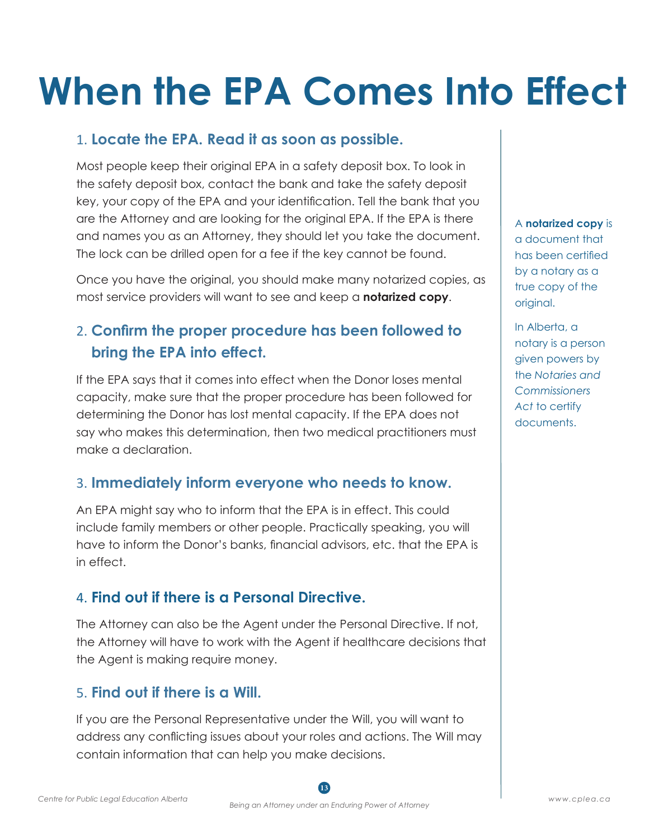## **When the EPA Comes Into Effect**

#### 1. **Locate the EPA. Read it as soon as possible.**

Most people keep their original EPA in a safety deposit box. To look in the safety deposit box, contact the bank and take the safety deposit key, your copy of the EPA and your identification. Tell the bank that you are the Attorney and are looking for the original EPA. If the EPA is there and names you as an Attorney, they should let you take the document. The lock can be drilled open for a fee if the key cannot be found.

Once you have the original, you should make many notarized copies, as most service providers will want to see and keep a **notarized copy**.

#### 2. **Confirm the proper procedure has been followed to bring the EPA into effect.**

If the EPA says that it comes into effect when the Donor loses mental capacity, make sure that the proper procedure has been followed for determining the Donor has lost mental capacity. If the EPA does not say who makes this determination, then two medical practitioners must make a declaration.

#### 3. **Immediately inform everyone who needs to know.**

An EPA might say who to inform that the EPA is in effect. This could include family members or other people. Practically speaking, you will have to inform the Donor's banks, financial advisors, etc. that the EPA is in effect.

#### 4. **Find out if there is a Personal Directive.**

The Attorney can also be the Agent under the Personal Directive. If not, the Attorney will have to work with the Agent if healthcare decisions that the Agent is making require money.

#### 5. **Find out if there is a Will.**

If you are the Personal Representative under the Will, you will want to address any conflicting issues about your roles and actions. The Will may contain information that can help you make decisions.

A **notarized copy** is a document that has been certified by a notary as a true copy of the original.

In Alberta, a notary is a person given powers by the *Notaries and Commissioners Act* to certify documents.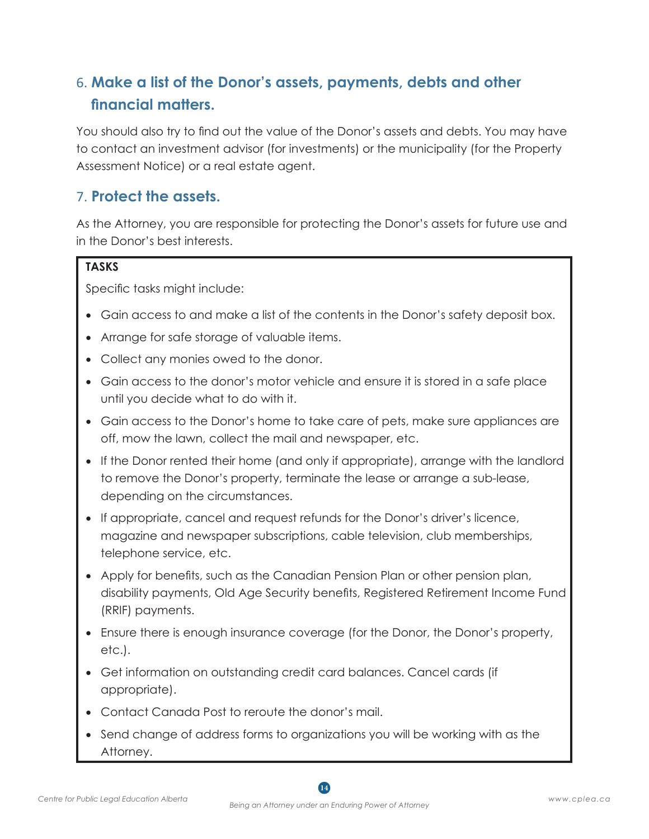#### 6. **Make a list of the Donor's assets, payments, debts and other financial matters.**

You should also try to find out the value of the Donor's assets and debts. You may have to contact an investment advisor (for investments) or the municipality (for the Property Assessment Notice) or a real estate agent.

#### 7. **Protect the assets.**

As the Attorney, you are responsible for protecting the Donor's assets for future use and in the Donor's best interests.

#### **TASKS**

Specific tasks might include:

- Gain access to and make a list of the contents in the Donor's safety deposit box.
- Arrange for safe storage of valuable items.
- Collect any monies owed to the donor.
- Gain access to the donor's motor vehicle and ensure it is stored in a safe place until you decide what to do with it.
- Gain access to the Donor's home to take care of pets, make sure appliances are off, mow the lawn, collect the mail and newspaper, etc.
- If the Donor rented their home (and only if appropriate), arrange with the landlord to remove the Donor's property, terminate the lease or arrange a sub-lease, depending on the circumstances.
- If appropriate, cancel and request refunds for the Donor's driver's licence, magazine and newspaper subscriptions, cable television, club memberships, telephone service, etc.
- Apply for benefits, such as the Canadian Pension Plan or other pension plan, disability payments, Old Age Security benefits, Registered Retirement Income Fund (RRIF) payments.
- Ensure there is enough insurance coverage (for the Donor, the Donor's property, etc.).
- Get information on outstanding credit card balances. Cancel cards (if appropriate).
- • Contact Canada Post to reroute the donor's mail.
- Send change of address forms to organizations you will be working with as the Attorney.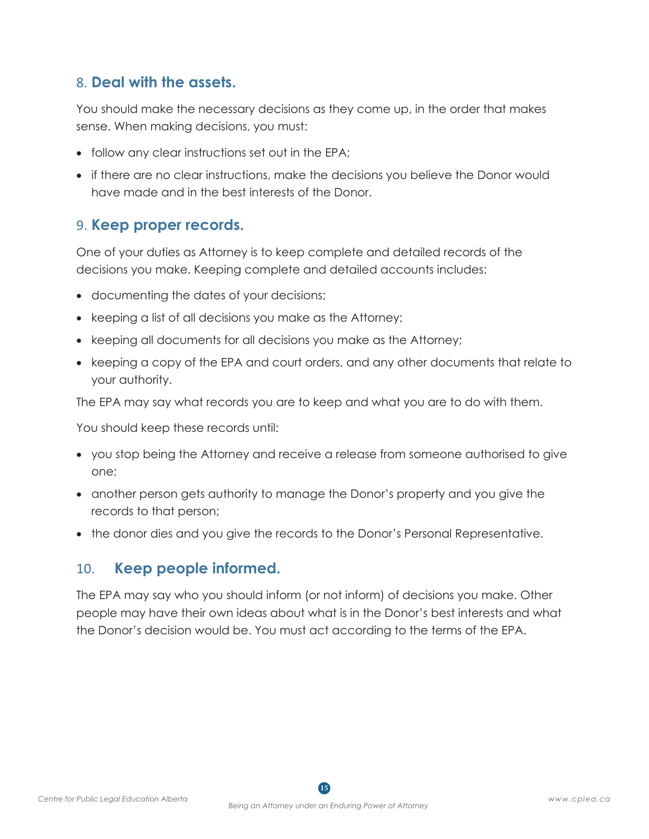#### 8. **Deal with the assets.**

You should make the necessary decisions as they come up, in the order that makes sense. When making decisions, you must:

- follow any clear instructions set out in the EPA;
- if there are no clear instructions, make the decisions you believe the Donor would have made and in the best interests of the Donor.

#### 9. **Keep proper records.**

One of your duties as Attorney is to keep complete and detailed records of the decisions you make. Keeping complete and detailed accounts includes:

- documenting the dates of your decisions;
- keeping a list of all decisions you make as the Attorney;
- keeping all documents for all decisions you make as the Attorney;
- keeping a copy of the EPA and court orders, and any other documents that relate to your authority.

The EPA may say what records you are to keep and what you are to do with them.

You should keep these records until:

- you stop being the Attorney and receive a release from someone authorised to give one;
- • another person gets authority to manage the Donor's property and you give the records to that person;
- the donor dies and you give the records to the Donor's Personal Representative.

#### 10. **Keep people informed.**

The EPA may say who you should inform (or not inform) of decisions you make. Other people may have their own ideas about what is in the Donor's best interests and what the Donor's decision would be. You must act according to the terms of the EPA.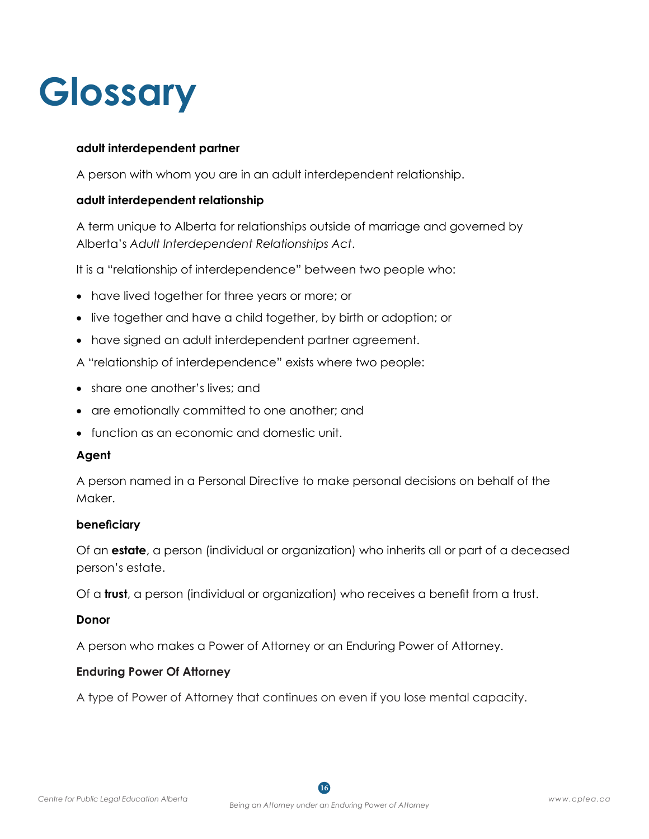### **Glossary**

#### **adult interdependent partner**

A person with whom you are in an adult interdependent relationship.

#### **adult interdependent relationship**

A term unique to Alberta for relationships outside of marriage and governed by Alberta's *Adult Interdependent Relationships Act*.

It is a "relationship of interdependence" between two people who:

- have lived together for three years or more; or
- live together and have a child together, by birth or adoption; or
- have signed an adult interdependent partner agreement.
- A "relationship of interdependence" exists where two people:
- share one another's lives; and
- are emotionally committed to one another; and
- function as an economic and domestic unit.

#### **Agent**

A person named in a Personal Directive to make personal decisions on behalf of the Maker.

#### **beneficiary**

Of an **estate**, a person (individual or organization) who inherits all or part of a deceased person's estate.

Of a **trust**, a person (individual or organization) who receives a benefit from a trust.

#### **Donor**

A person who makes a Power of Attorney or an Enduring Power of Attorney.

#### **Enduring Power Of Attorney**

A type of Power of Attorney that continues on even if you lose mental capacity.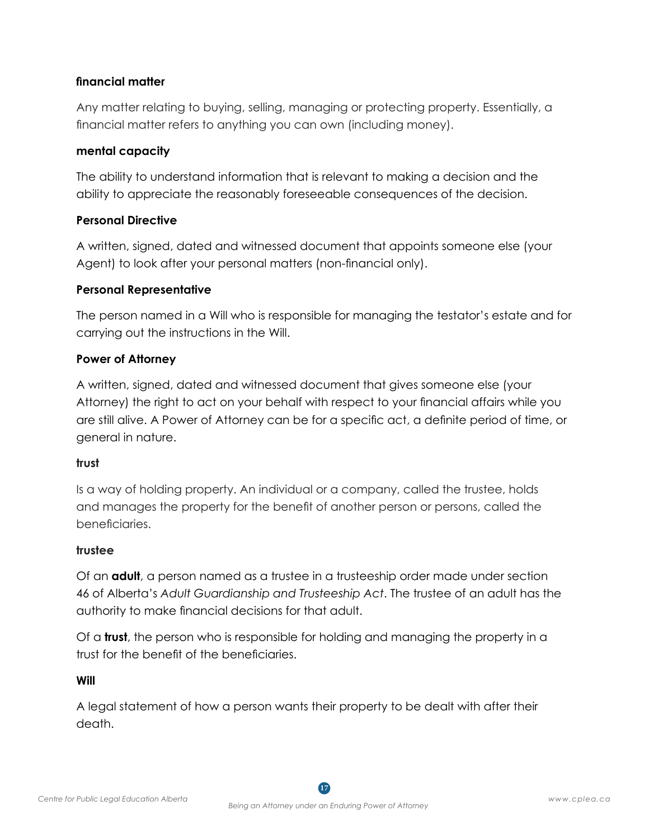#### **financial matter**

Any matter relating to buying, selling, managing or protecting property. Essentially, a financial matter refers to anything you can own (including money).

#### **mental capacity**

The ability to understand information that is relevant to making a decision and the ability to appreciate the reasonably foreseeable consequences of the decision.

#### **Personal Directive**

A written, signed, dated and witnessed document that appoints someone else (your Agent) to look after your personal matters (non-financial only).

#### **Personal Representative**

The person named in a Will who is responsible for managing the testator's estate and for carrying out the instructions in the Will.

#### **Power of Attorney**

A written, signed, dated and witnessed document that gives someone else (your Attorney) the right to act on your behalf with respect to your financial affairs while you are still alive. A Power of Attorney can be for a specific act, a definite period of time, or general in nature.

#### **trust**

Is a way of holding property. An individual or a company, called the trustee, holds and manages the property for the benefit of another person or persons, called the beneficiaries.

#### **trustee**

Of an **adult**, a person named as a trustee in a trusteeship order made under section 46 of Alberta's *Adult Guardianship and Trusteeship Act*. The trustee of an adult has the authority to make financial decisions for that adult.

Of a **trust**, the person who is responsible for holding and managing the property in a trust for the benefit of the beneficiaries.

#### **Will**

A legal statement of how a person wants their property to be dealt with after their death.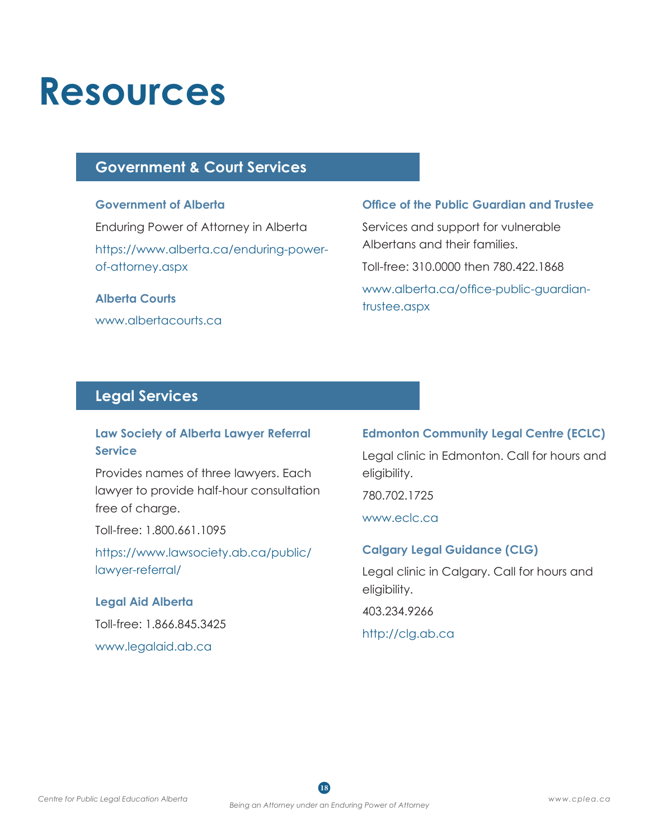### **Resources**

#### **Government & Court Services**

#### **Government of Alberta**

Enduring Power of Attorney in Alberta [https://www.alberta.ca/enduring-power](https://www.alberta.ca/enduring-power-of-attorney.aspx)[of-attorney.aspx](https://www.alberta.ca/enduring-power-of-attorney.aspx)

#### **Alberta Courts**

[www.albertacourts.ca](http://www.albertacourts.ca)

#### **Office of the Public Guardian and Trustee**

Services and support for vulnerable Albertans and their families. Toll-free: 310.0000 then 780.422.1868 [www.alberta.ca/office-public-guardian](http://www.alberta.ca/office-public-guardian-trustee.aspx)[trustee.aspx](http://www.alberta.ca/office-public-guardian-trustee.aspx)

#### **Legal Services**

#### **Law Society of Alberta Lawyer Referral Service**

Provides names of three lawyers. Each lawyer to provide half-hour consultation free of charge.

Toll-free: 1.800.661.1095

[https://www.lawsociety.ab.ca/public/](https://www.lawsociety.ab.ca/public/lawyer-referral/) [lawyer-referral/](https://www.lawsociety.ab.ca/public/lawyer-referral/)

#### **Legal Aid Alberta**

Toll-free: 1.866.845.3425 [www.legalaid.ab.ca](http://www.legalaid.ab.ca)

#### **Edmonton Community Legal Centre (ECLC)**

Legal clinic in Edmonton. Call for hours and eligibility.

780.702.1725

[www.eclc.ca](http://www.eclc.ca)

#### **Calgary Legal Guidance (CLG)**

Legal clinic in Calgary. Call for hours and eligibility.

403.234.9266

#### <http://clg.ab.ca>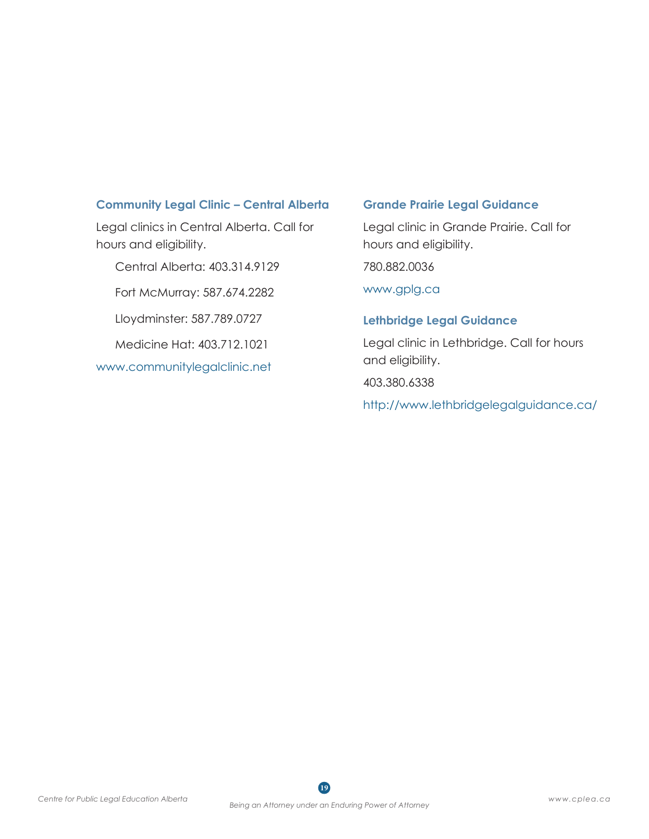#### **Community Legal Clinic – Central Alberta**

Legal clinics in Central Alberta. Call for hours and eligibility.

Central Alberta: 403.314.9129

Fort McMurray: 587.674.2282

Lloydminster: 587.789.0727

Medicine Hat: 403.712.1021

[www.communitylegalclinic.net](http://www.communitylegalclinic.net)

#### **Grande Prairie Legal Guidance**

Legal clinic in Grande Prairie. Call for hours and eligibility.

780.882.0036

[www.gplg.ca](http://www.gplg.ca)

#### **Lethbridge Legal Guidance**

Legal clinic in Lethbridge. Call for hours and eligibility.

403.380.6338

<http://www.lethbridgelegalguidance.ca/>